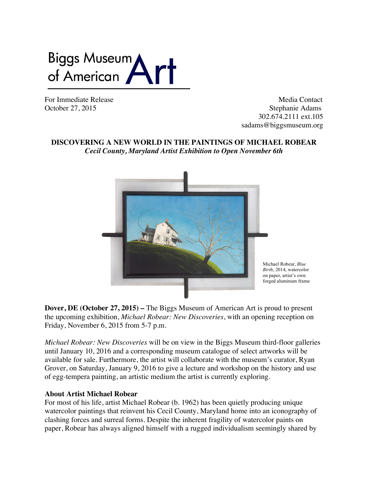

For Immediate Release and the set of the Media Contact Media Contact Media Contact October 27, 2015 Stephanie Adams 302.674.2111 ext.105 sadams@biggsmuseum.org

# **DISCOVERING A NEW WORLD IN THE PAINTINGS OF MICHAEL ROBEAR** *Cecil County, Maryland Artist Exhibition to Open November 6th*



**Dover, DE (October 27, 2015) –** The Biggs Museum of American Art is proud to present the upcoming exhibition, *Michael Robear: New Discoveries*, with an opening reception on Friday, November 6, 2015 from 5-7 p.m.

*Michael Robear: New Discoveries* will be on view in the Biggs Museum third-floor galleries until January 10, 2016 and a corresponding museum catalogue of select artworks will be available for sale. Furthermore, the artist will collaborate with the museum's curator, Ryan Grover, on Saturday, January 9, 2016 to give a lecture and workshop on the history and use of egg-tempera painting, an artistic medium the artist is currently exploring.

### **About Artist Michael Robear**

For most of his life, artist Michael Robear (b. 1962) has been quietly producing unique watercolor paintings that reinvent his Cecil County, Maryland home into an iconography of clashing forces and surreal forms. Despite the inherent fragility of watercolor paints on paper, Robear has always aligned himself with a rugged individualism seemingly shared by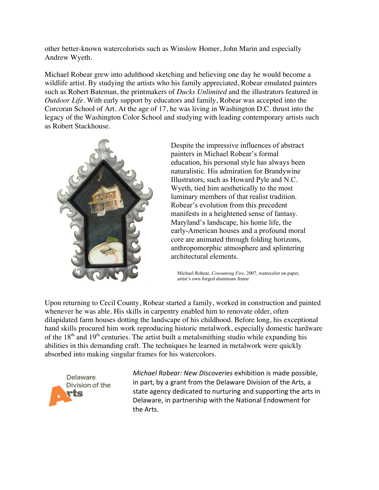other better-known watercolorists such as Winslow Homer, John Marin and especially Andrew Wyeth.

Michael Robear grew into adulthood sketching and believing one day he would become a wildlife artist. By studying the artists who his family appreciated, Robear emulated painters such as Robert Bateman, the printmakers of *Ducks Unlimited* and the illustrators featured in *Outdoor Life.* With early support by educators and family, Robear was accepted into the Corcoran School of Art. At the age of 17, he was living in Washington D.C. thrust into the legacy of the Washington Color School and studying with leading contemporary artists such as Robert Stackhouse.



Despite the impressive influences of abstract painters in Michael Robear's formal education, his personal style has always been naturalistic. His admiration for Brandywine Illustrators, such as Howard Pyle and N.C. Wyeth, tied him aesthetically to the most luminary members of that realist tradition. Robear's evolution from this precedent manifests in a heightened sense of fantasy. Maryland's landscape, his home life, the early-American houses and a profound moral core are animated through folding horizons, anthropomorphic atmosphere and splintering architectural elements.

Michael Robear, *Consuming Fire*, 2007, watercolor on paper, artist's own forged aluminum frame

Upon returning to Cecil County, Robear started a family, worked in construction and painted whenever he was able. His skills in carpentry enabled him to renovate older, often dilapidated farm houses dotting the landscape of his childhood. Before long, his exceptional hand skills procured him work reproducing historic metalwork, especially domestic hardware of the  $18<sup>th</sup>$  and  $19<sup>th</sup>$  centuries. The artist built a metalsmithing studio while expanding his abilities in this demanding craft. The techniques he learned in metalwork were quickly absorbed into making singular frames for his watercolors.



*Michael Robear: New Discoveries* exhibition is made possible, in part, by a grant from the Delaware Division of the Arts, a state agency dedicated to nurturing and supporting the arts in Delaware, in partnership with the National Endowment for the Arts.